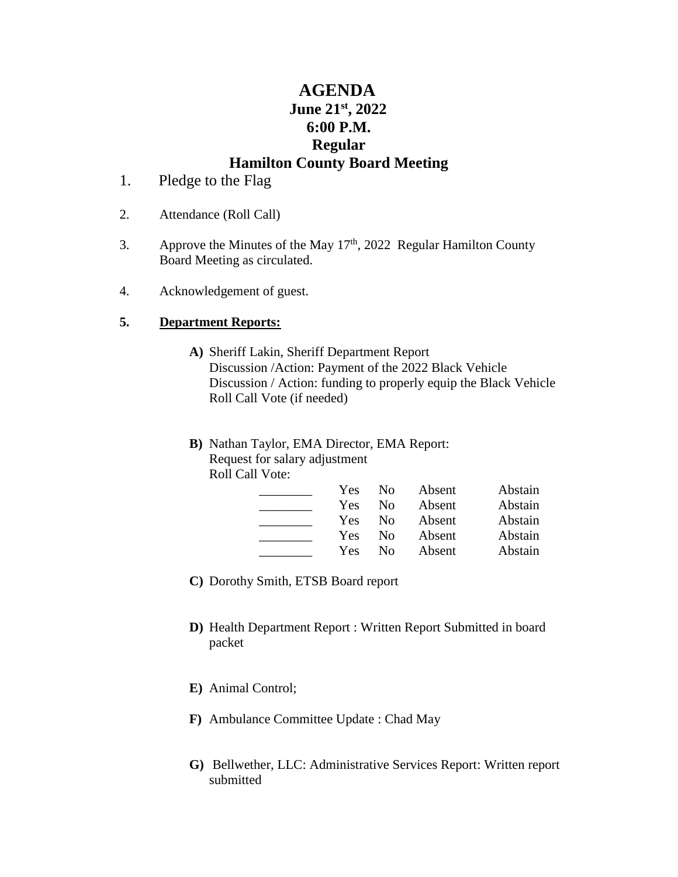# **AGENDA June 21st, 2022 6:00 P.M. Regular Hamilton County Board Meeting**

- 1. Pledge to the Flag
- 2. Attendance (Roll Call)
- 3. Approve the Minutes of the May  $17<sup>th</sup>$ , 2022 Regular Hamilton County Board Meeting as circulated.
- 4. Acknowledgement of guest.

## **5. Department Reports:**

- **A)** Sheriff Lakin, Sheriff Department Report Discussion /Action: Payment of the 2022 Black Vehicle Discussion / Action: funding to properly equip the Black Vehicle Roll Call Vote (if needed)
- **B)** Nathan Taylor, EMA Director, EMA Report: Request for salary adjustment Roll Call Vote:

| Yes | $\rm No$       | Absent | Abstain |
|-----|----------------|--------|---------|
| Yes | $\rm No$       | Absent | Abstain |
| Yes | N <sub>0</sub> | Absent | Abstain |
| Yes | $\rm No$       | Absent | Abstain |
| Yes | Nο             | Absent | Abstain |

- **C)** Dorothy Smith, ETSB Board report
- **D)** Health Department Report : Written Report Submitted in board packet
- **E)** Animal Control;
- **F)** Ambulance Committee Update : Chad May
- **G)** Bellwether, LLC: Administrative Services Report: Written report submitted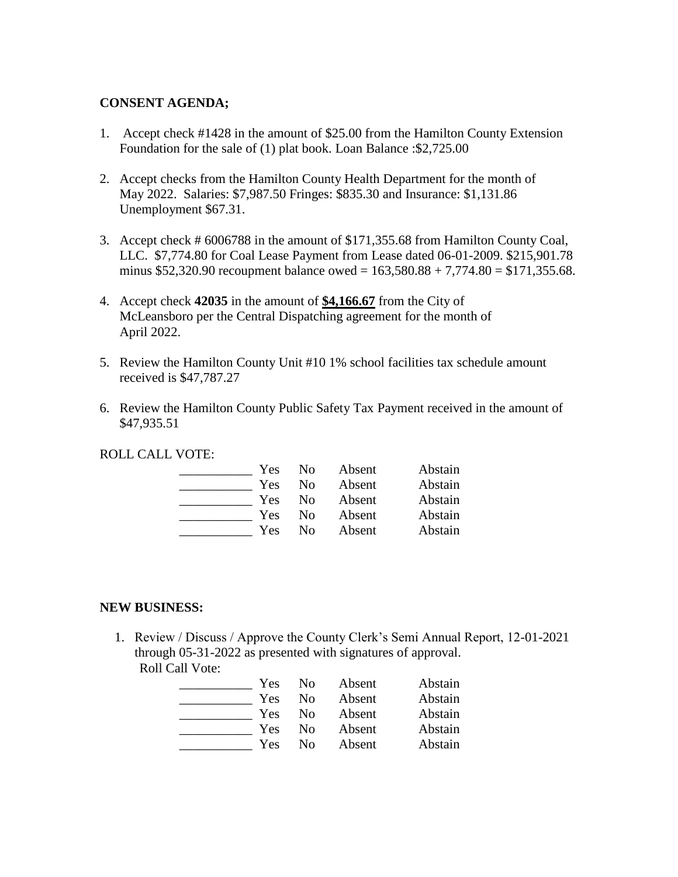## **CONSENT AGENDA;**

- 1. Accept check #1428 in the amount of \$25.00 from the Hamilton County Extension Foundation for the sale of (1) plat book. Loan Balance :\$2,725.00
- 2. Accept checks from the Hamilton County Health Department for the month of May 2022. Salaries: \$7,987.50 Fringes: \$835.30 and Insurance: \$1,131.86 Unemployment \$67.31.
- 3. Accept check # 6006788 in the amount of \$171,355.68 from Hamilton County Coal, LLC. \$7,774.80 for Coal Lease Payment from Lease dated 06-01-2009. \$215,901.78 minus  $$52,320.90$  recoupment balance owed =  $163,580.88 + 7,774.80 = $171,355.68$ .
- 4. Accept check **42035** in the amount of **\$4,166.67** from the City of McLeansboro per the Central Dispatching agreement for the month of April 2022.
- 5. Review the Hamilton County Unit #10 1% school facilities tax schedule amount received is \$47,787.27
- 6. Review the Hamilton County Public Safety Tax Payment received in the amount of \$47,935.51

ROLL CALL VOTE:

| Yes | N <sub>0</sub> | Absent | Abstain |
|-----|----------------|--------|---------|
| Yes | Nο             | Absent | Abstain |
| Yes | Nο             | Absent | Abstain |
| Yes | Nο             | Absent | Abstain |
| Yes | Nο             | Absent | Abstain |

## **NEW BUSINESS:**

1. Review / Discuss / Approve the County Clerk's Semi Annual Report, 12-01-2021 through 05-31-2022 as presented with signatures of approval. Roll Call Vote:

| <b>Yes</b> | -No            | Absent | Abstain |
|------------|----------------|--------|---------|
| Yes        | N <sub>0</sub> | Absent | Abstain |
| Yes        | N <sub>0</sub> | Absent | Abstain |
| Yes        | N <sub>0</sub> | Absent | Abstain |
| Yes        | N <sub>0</sub> | Absent | Abstain |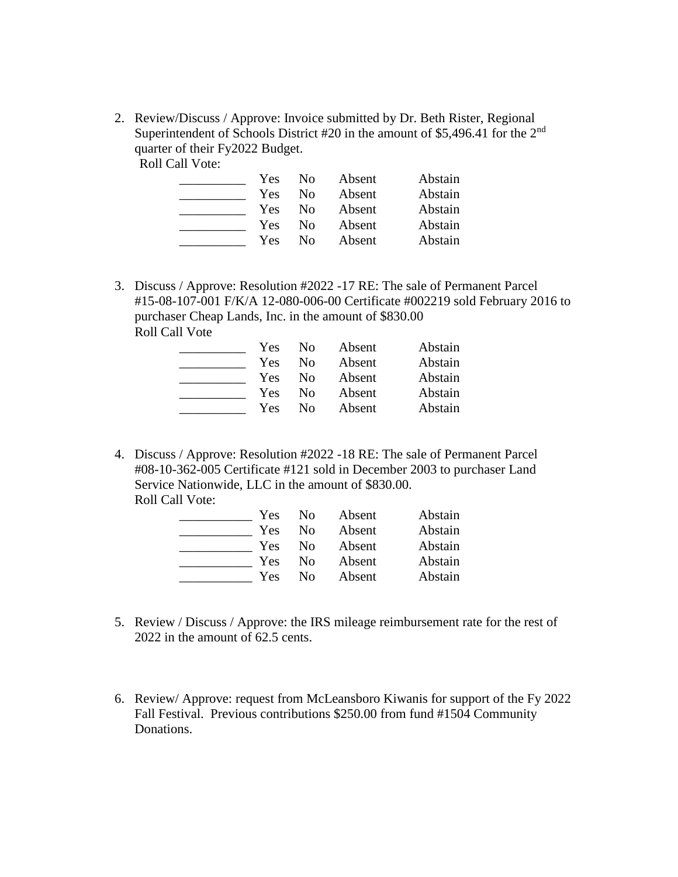2. Review/Discuss / Approve: Invoice submitted by Dr. Beth Rister, Regional Superintendent of Schools District #20 in the amount of \$5,496.41 for the 2nd quarter of their Fy2022 Budget.

Roll Call Vote:

| Yes        | N <sub>0</sub> | Absent | Abstain |
|------------|----------------|--------|---------|
| <b>Yes</b> | Nο             | Absent | Abstain |
| Yes        | No             | Absent | Abstain |
| Yes        | Nο             | Absent | Abstain |
| Yes        | Nο             | Absent | Abstain |

3. Discuss / Approve: Resolution #2022 -17 RE: The sale of Permanent Parcel #15-08-107-001 F/K/A 12-080-006-00 Certificate #002219 sold February 2016 to purchaser Cheap Lands, Inc. in the amount of \$830.00 Roll Call Vote

| Yes | N <sub>0</sub> | Absent | Abstain |
|-----|----------------|--------|---------|
| Yes | No             | Absent | Abstain |
| Yes | No.            | Absent | Abstain |
| Yes | No.            | Absent | Abstain |
| Yes | Nο             | Absent | Abstain |

4. Discuss / Approve: Resolution #2022 -18 RE: The sale of Permanent Parcel #08-10-362-005 Certificate #121 sold in December 2003 to purchaser Land Service Nationwide, LLC in the amount of \$830.00. Roll Call Vote:

| Yes | Nο | Absent | Abstain |
|-----|----|--------|---------|
| Yes | Nο | Absent | Abstain |
| Yes | No | Absent | Abstain |
| Yes | Nο | Absent | Abstain |
| Yes | Nο | Absent | Abstain |

- 5. Review / Discuss / Approve: the IRS mileage reimbursement rate for the rest of 2022 in the amount of 62.5 cents.
- 6. Review/ Approve: request from McLeansboro Kiwanis for support of the Fy 2022 Fall Festival. Previous contributions \$250.00 from fund #1504 Community Donations.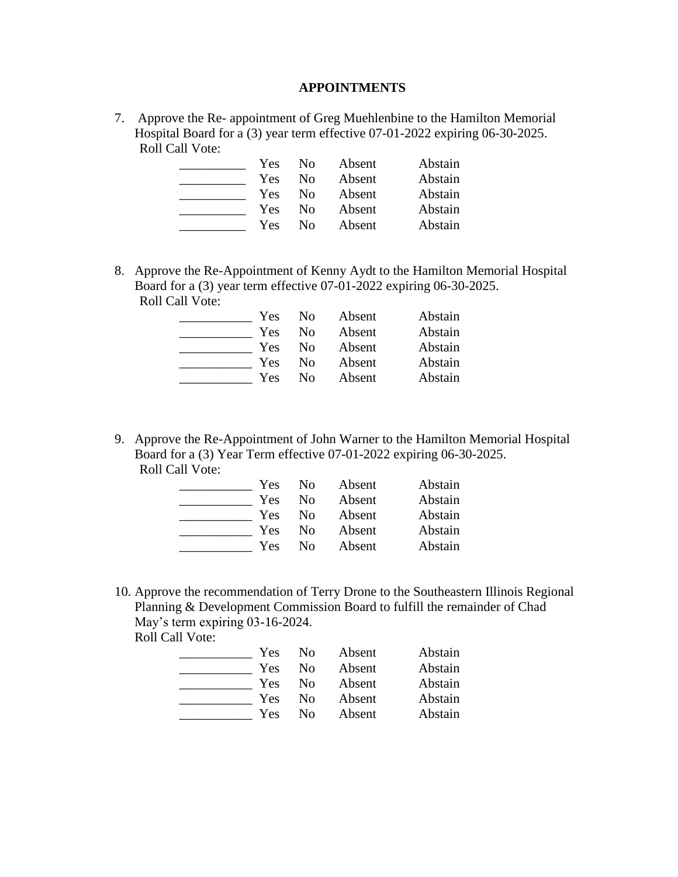#### **APPOINTMENTS**

7. Approve the Re- appointment of Greg Muehlenbine to the Hamilton Memorial Hospital Board for a (3) year term effective 07-01-2022 expiring 06-30-2025. Roll Call Vote:

| Yes | N <sub>0</sub> | Absent | Abstain |
|-----|----------------|--------|---------|
| Yes | N <sub>0</sub> | Absent | Abstain |
| Yes | No.            | Absent | Abstain |
| Yes | No.            | Absent | Abstain |
| Yes | Nο             | Absent | Abstain |

8. Approve the Re-Appointment of Kenny Aydt to the Hamilton Memorial Hospital Board for a (3) year term effective 07-01-2022 expiring 06-30-2025. Roll Call Vote:

| Yes | N <sub>0</sub> | Absent | Abstain |
|-----|----------------|--------|---------|
| Yes | No             | Absent | Abstain |
| Yes | No             | Absent | Abstain |
| Yes | Nο             | Absent | Abstain |
| Yes | No             | Absent | Abstain |

9. Approve the Re-Appointment of John Warner to the Hamilton Memorial Hospital Board for a (3) Year Term effective 07-01-2022 expiring 06-30-2025. Roll Call Vote:

| Yes | No. | Absent | Abstain |
|-----|-----|--------|---------|
| Yes | No  | Absent | Abstain |
| Yes | No  | Absent | Abstain |
| Yes | Nο  | Absent | Abstain |
| Yes | Nο  | Absent | Abstain |

10. Approve the recommendation of Terry Drone to the Southeastern Illinois Regional Planning & Development Commission Board to fulfill the remainder of Chad May's term expiring 03-16-2024.

Roll Call Vote:

| Yes | No.            | Absent | Abstain |
|-----|----------------|--------|---------|
| Yes | No             | Absent | Abstain |
| Yes | N <sub>0</sub> | Absent | Abstain |
| Yes | No             | Absent | Abstain |
| Yes | Nο             | Absent | Abstain |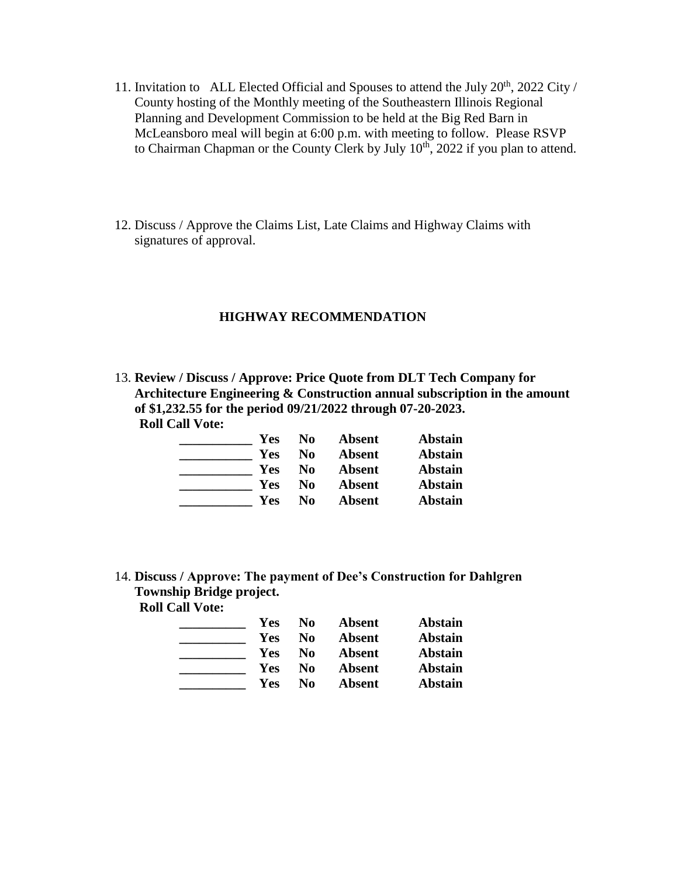- 11. Invitation to ALL Elected Official and Spouses to attend the July 20<sup>th</sup>, 2022 City / County hosting of the Monthly meeting of the Southeastern Illinois Regional Planning and Development Commission to be held at the Big Red Barn in McLeansboro meal will begin at 6:00 p.m. with meeting to follow. Please RSVP to Chairman Chapman or the County Clerk by July  $10^{th}$ , 2022 if you plan to attend.
- 12. Discuss / Approve the Claims List, Late Claims and Highway Claims with signatures of approval.

#### **HIGHWAY RECOMMENDATION**

13. **Review / Discuss / Approve: Price Quote from DLT Tech Company for Architecture Engineering & Construction annual subscription in the amount of \$1,232.55 for the period 09/21/2022 through 07-20-2023. Roll Call Vote:**

| Yes | No | <b>Absent</b> | <b>Abstain</b> |
|-----|----|---------------|----------------|
| Yes | No | <b>Absent</b> | <b>Abstain</b> |
| Yes | No | <b>Absent</b> | <b>Abstain</b> |
| Yes | No | <b>Absent</b> | <b>Abstain</b> |
| Yes | No | Absent        | Abstain        |

14. **Discuss / Approve: The payment of Dee's Construction for Dahlgren Township Bridge project. Roll Call Vote:**

| Yes        | No. | <b>Absent</b> | <b>Abstain</b> |
|------------|-----|---------------|----------------|
| Yes        | No  | <b>Absent</b> | <b>Abstain</b> |
| Yes        | No  | <b>Absent</b> | <b>Abstain</b> |
| <b>Yes</b> | No  | <b>Absent</b> | <b>Abstain</b> |
| Yes        | No  | Absent        | <b>Abstain</b> |